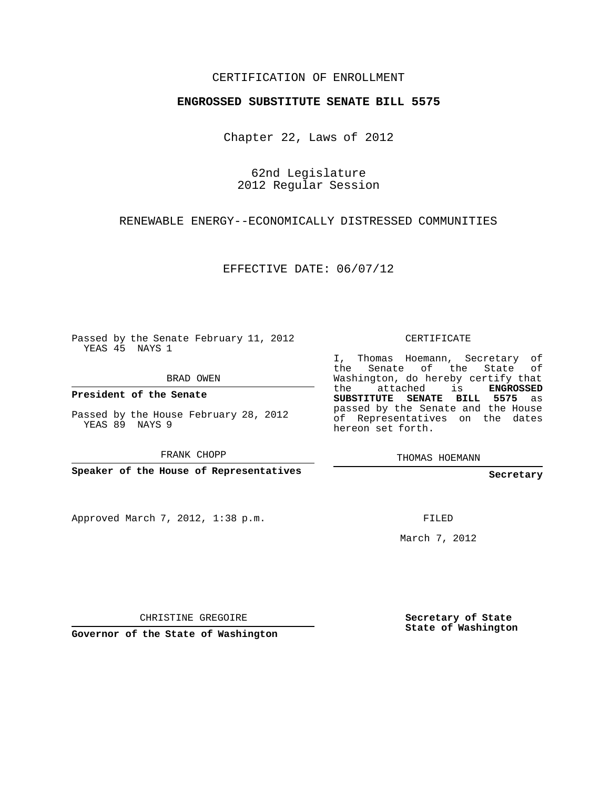### CERTIFICATION OF ENROLLMENT

#### **ENGROSSED SUBSTITUTE SENATE BILL 5575**

Chapter 22, Laws of 2012

62nd Legislature 2012 Regular Session

RENEWABLE ENERGY--ECONOMICALLY DISTRESSED COMMUNITIES

EFFECTIVE DATE: 06/07/12

Passed by the Senate February 11, 2012 YEAS 45 NAYS 1

BRAD OWEN

**President of the Senate**

Passed by the House February 28, 2012 YEAS 89 NAYS 9

FRANK CHOPP

**Speaker of the House of Representatives**

Approved March 7, 2012, 1:38 p.m.

CERTIFICATE

I, Thomas Hoemann, Secretary of the Senate of the State of Washington, do hereby certify that the attached is **ENGROSSED SUBSTITUTE SENATE BILL 5575** as passed by the Senate and the House of Representatives on the dates hereon set forth.

THOMAS HOEMANN

**Secretary**

FILED

March 7, 2012

CHRISTINE GREGOIRE

**Governor of the State of Washington**

**Secretary of State State of Washington**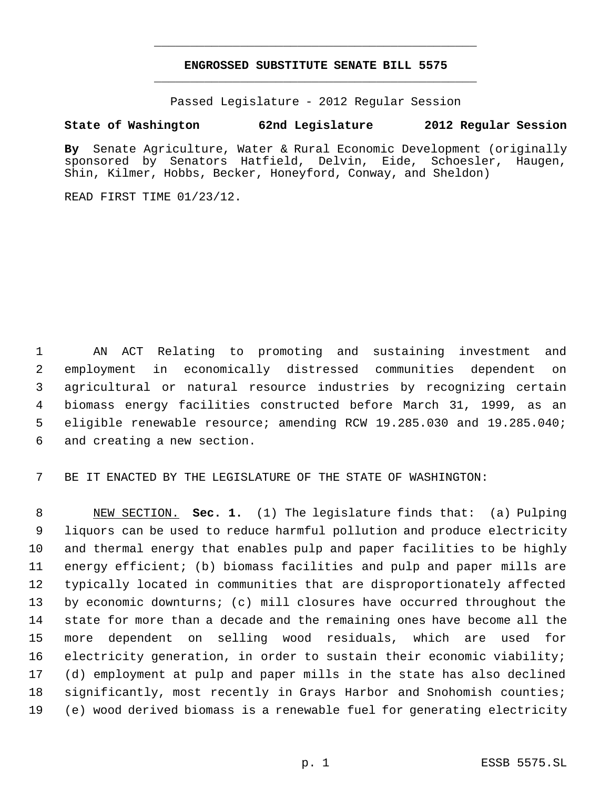## **ENGROSSED SUBSTITUTE SENATE BILL 5575** \_\_\_\_\_\_\_\_\_\_\_\_\_\_\_\_\_\_\_\_\_\_\_\_\_\_\_\_\_\_\_\_\_\_\_\_\_\_\_\_\_\_\_\_\_

\_\_\_\_\_\_\_\_\_\_\_\_\_\_\_\_\_\_\_\_\_\_\_\_\_\_\_\_\_\_\_\_\_\_\_\_\_\_\_\_\_\_\_\_\_

Passed Legislature - 2012 Regular Session

# **State of Washington 62nd Legislature 2012 Regular Session**

**By** Senate Agriculture, Water & Rural Economic Development (originally sponsored by Senators Hatfield, Delvin, Eide, Schoesler, Haugen, Shin, Kilmer, Hobbs, Becker, Honeyford, Conway, and Sheldon)

READ FIRST TIME 01/23/12.

 AN ACT Relating to promoting and sustaining investment and employment in economically distressed communities dependent on agricultural or natural resource industries by recognizing certain biomass energy facilities constructed before March 31, 1999, as an eligible renewable resource; amending RCW 19.285.030 and 19.285.040; and creating a new section.

BE IT ENACTED BY THE LEGISLATURE OF THE STATE OF WASHINGTON:

 NEW SECTION. **Sec. 1.** (1) The legislature finds that: (a) Pulping liquors can be used to reduce harmful pollution and produce electricity and thermal energy that enables pulp and paper facilities to be highly energy efficient; (b) biomass facilities and pulp and paper mills are typically located in communities that are disproportionately affected by economic downturns; (c) mill closures have occurred throughout the state for more than a decade and the remaining ones have become all the more dependent on selling wood residuals, which are used for electricity generation, in order to sustain their economic viability; (d) employment at pulp and paper mills in the state has also declined significantly, most recently in Grays Harbor and Snohomish counties; (e) wood derived biomass is a renewable fuel for generating electricity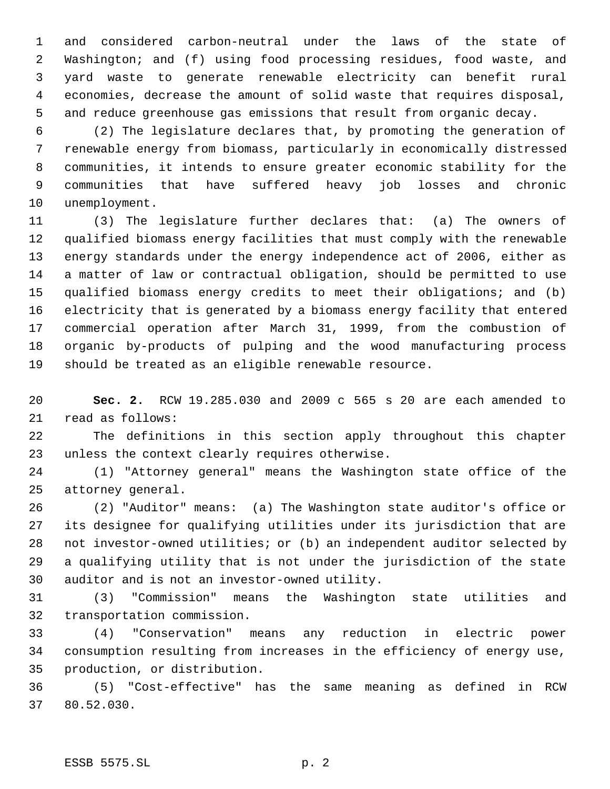and considered carbon-neutral under the laws of the state of Washington; and (f) using food processing residues, food waste, and yard waste to generate renewable electricity can benefit rural economies, decrease the amount of solid waste that requires disposal, and reduce greenhouse gas emissions that result from organic decay.

 (2) The legislature declares that, by promoting the generation of renewable energy from biomass, particularly in economically distressed communities, it intends to ensure greater economic stability for the communities that have suffered heavy job losses and chronic unemployment.

 (3) The legislature further declares that: (a) The owners of qualified biomass energy facilities that must comply with the renewable energy standards under the energy independence act of 2006, either as a matter of law or contractual obligation, should be permitted to use qualified biomass energy credits to meet their obligations; and (b) electricity that is generated by a biomass energy facility that entered commercial operation after March 31, 1999, from the combustion of organic by-products of pulping and the wood manufacturing process should be treated as an eligible renewable resource.

 **Sec. 2.** RCW 19.285.030 and 2009 c 565 s 20 are each amended to read as follows:

 The definitions in this section apply throughout this chapter unless the context clearly requires otherwise.

 (1) "Attorney general" means the Washington state office of the attorney general.

 (2) "Auditor" means: (a) The Washington state auditor's office or its designee for qualifying utilities under its jurisdiction that are not investor-owned utilities; or (b) an independent auditor selected by a qualifying utility that is not under the jurisdiction of the state auditor and is not an investor-owned utility.

 (3) "Commission" means the Washington state utilities and transportation commission.

 (4) "Conservation" means any reduction in electric power consumption resulting from increases in the efficiency of energy use, production, or distribution.

 (5) "Cost-effective" has the same meaning as defined in RCW 80.52.030.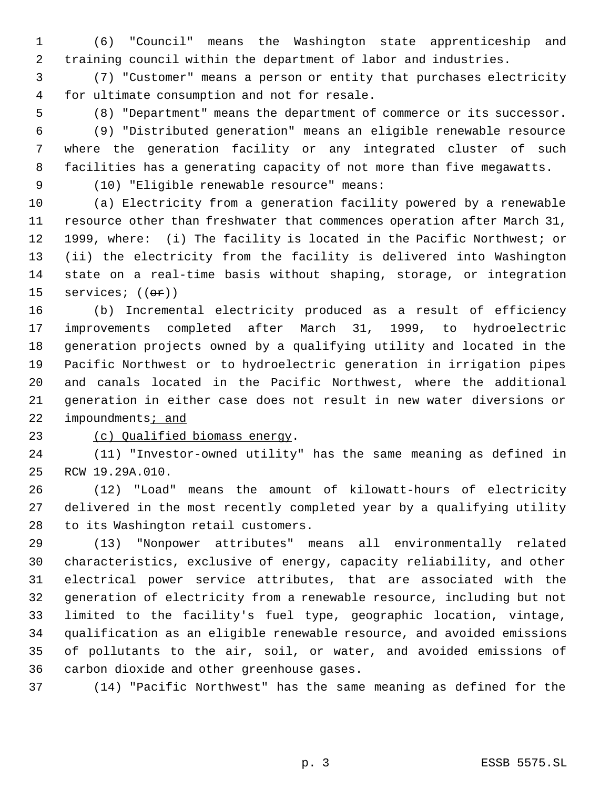(6) "Council" means the Washington state apprenticeship and training council within the department of labor and industries.

 (7) "Customer" means a person or entity that purchases electricity for ultimate consumption and not for resale.

(8) "Department" means the department of commerce or its successor.

 (9) "Distributed generation" means an eligible renewable resource where the generation facility or any integrated cluster of such facilities has a generating capacity of not more than five megawatts.

(10) "Eligible renewable resource" means:

 (a) Electricity from a generation facility powered by a renewable resource other than freshwater that commences operation after March 31, 1999, where: (i) The facility is located in the Pacific Northwest; or (ii) the electricity from the facility is delivered into Washington state on a real-time basis without shaping, storage, or integration 15 services;  $((\theta \cdot \mathbf{r}))$ 

 (b) Incremental electricity produced as a result of efficiency improvements completed after March 31, 1999, to hydroelectric generation projects owned by a qualifying utility and located in the Pacific Northwest or to hydroelectric generation in irrigation pipes and canals located in the Pacific Northwest, where the additional generation in either case does not result in new water diversions or 22 impoundments<sub>i</sub> and

# (c) Qualified biomass energy.

 (11) "Investor-owned utility" has the same meaning as defined in RCW 19.29A.010.

 (12) "Load" means the amount of kilowatt-hours of electricity delivered in the most recently completed year by a qualifying utility to its Washington retail customers.

 (13) "Nonpower attributes" means all environmentally related characteristics, exclusive of energy, capacity reliability, and other electrical power service attributes, that are associated with the generation of electricity from a renewable resource, including but not limited to the facility's fuel type, geographic location, vintage, qualification as an eligible renewable resource, and avoided emissions of pollutants to the air, soil, or water, and avoided emissions of carbon dioxide and other greenhouse gases.

(14) "Pacific Northwest" has the same meaning as defined for the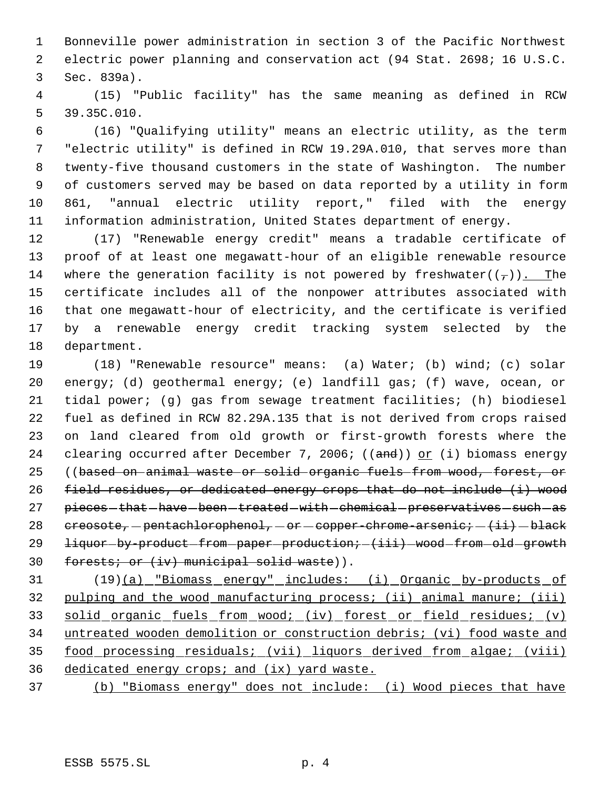Bonneville power administration in section 3 of the Pacific Northwest electric power planning and conservation act (94 Stat. 2698; 16 U.S.C. Sec. 839a).

 (15) "Public facility" has the same meaning as defined in RCW 39.35C.010.

 (16) "Qualifying utility" means an electric utility, as the term "electric utility" is defined in RCW 19.29A.010, that serves more than twenty-five thousand customers in the state of Washington. The number of customers served may be based on data reported by a utility in form 861, "annual electric utility report," filed with the energy information administration, United States department of energy.

 (17) "Renewable energy credit" means a tradable certificate of proof of at least one megawatt-hour of an eligible renewable resource 14 where the generation facility is not powered by freshwater( $(\tau)$ ). The certificate includes all of the nonpower attributes associated with that one megawatt-hour of electricity, and the certificate is verified by a renewable energy credit tracking system selected by the department.

 (18) "Renewable resource" means: (a) Water; (b) wind; (c) solar energy; (d) geothermal energy; (e) landfill gas; (f) wave, ocean, or tidal power; (g) gas from sewage treatment facilities; (h) biodiesel fuel as defined in RCW 82.29A.135 that is not derived from crops raised on land cleared from old growth or first-growth forests where the 24 clearing occurred after December 7, 2006; ((and)) or (i) biomass energy ((based on animal waste or solid organic fuels from wood, forest, or field residues, or dedicated energy crops that do not include (i) wood 27 pieces-that-have-been-treated-with-chemical-preservatives-such-as  $c$  creosote, - pentachlorophenol, - or - copper-chrome-arsenic;  $-$  (ii) - black 29 liquor-by-product-from-paper-production;-(iii)-wood-from-old-growth 30 forests; or (iv) municipal solid waste)).

 (19)(a) "Biomass energy" includes: (i) Organic by-products of 32 pulping and the wood manufacturing process; (ii) animal manure; (iii) 33 solid organic fuels from wood; (iv) forest or field residues; (v) untreated wooden demolition or construction debris; (vi) food waste and food processing residuals; (vii) liquors derived from algae; (viii) dedicated energy crops; and (ix) yard waste.

(b) "Biomass energy" does not include: (i) Wood pieces that have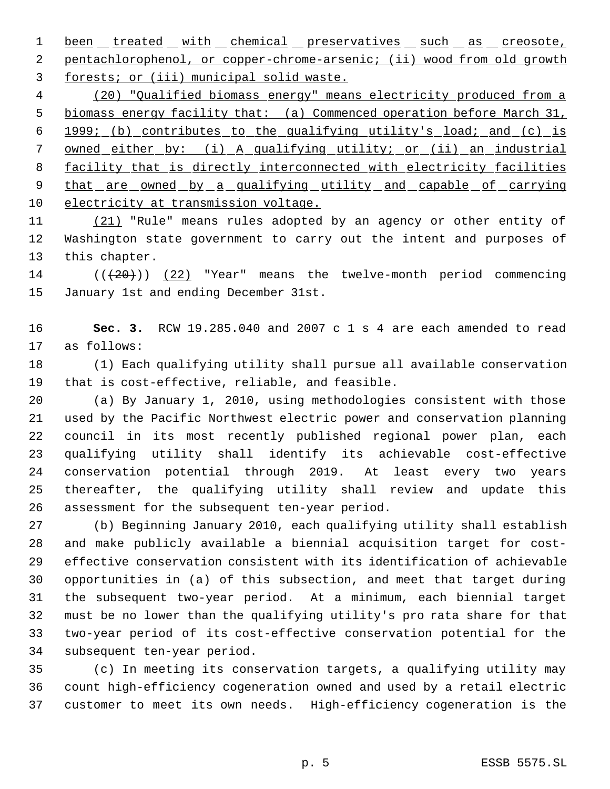1 been treated with chemical preservatives such as creosote, pentachlorophenol, or copper-chrome-arsenic; (ii) wood from old growth forests; or (iii) municipal solid waste.

 (20) "Qualified biomass energy" means electricity produced from a biomass energy facility that: (a) Commenced operation before March 31, 1999; (b) contributes to the qualifying utility's load; and (c) is owned either by: (i) A qualifying utility; or (ii) an industrial 8 facility that is directly interconnected with electricity facilities 9 that are owned by a qualifying utility and capable of carrying electricity at transmission voltage.

11 (21) "Rule" means rules adopted by an agency or other entity of Washington state government to carry out the intent and purposes of this chapter.

14 (( $(20)$ ) (22) "Year" means the twelve-month period commencing January 1st and ending December 31st.

 **Sec. 3.** RCW 19.285.040 and 2007 c 1 s 4 are each amended to read as follows:

 (1) Each qualifying utility shall pursue all available conservation that is cost-effective, reliable, and feasible.

 (a) By January 1, 2010, using methodologies consistent with those used by the Pacific Northwest electric power and conservation planning council in its most recently published regional power plan, each qualifying utility shall identify its achievable cost-effective conservation potential through 2019. At least every two years thereafter, the qualifying utility shall review and update this assessment for the subsequent ten-year period.

 (b) Beginning January 2010, each qualifying utility shall establish and make publicly available a biennial acquisition target for cost- effective conservation consistent with its identification of achievable opportunities in (a) of this subsection, and meet that target during the subsequent two-year period. At a minimum, each biennial target must be no lower than the qualifying utility's pro rata share for that two-year period of its cost-effective conservation potential for the subsequent ten-year period.

 (c) In meeting its conservation targets, a qualifying utility may count high-efficiency cogeneration owned and used by a retail electric customer to meet its own needs. High-efficiency cogeneration is the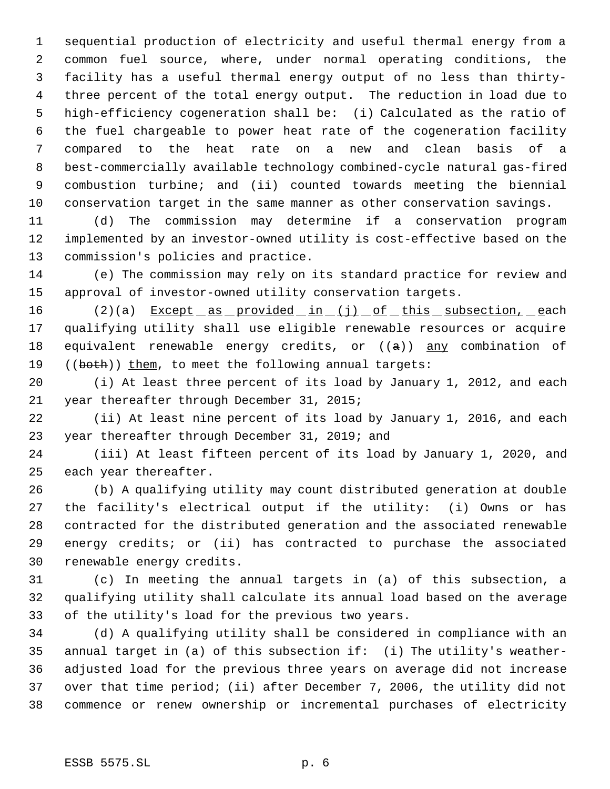sequential production of electricity and useful thermal energy from a common fuel source, where, under normal operating conditions, the facility has a useful thermal energy output of no less than thirty- three percent of the total energy output. The reduction in load due to high-efficiency cogeneration shall be: (i) Calculated as the ratio of the fuel chargeable to power heat rate of the cogeneration facility compared to the heat rate on a new and clean basis of a best-commercially available technology combined-cycle natural gas-fired combustion turbine; and (ii) counted towards meeting the biennial conservation target in the same manner as other conservation savings.

 (d) The commission may determine if a conservation program implemented by an investor-owned utility is cost-effective based on the commission's policies and practice.

 (e) The commission may rely on its standard practice for review and approval of investor-owned utility conservation targets.

16 (2)(a) Except as provided in (j) of this subsection, each qualifying utility shall use eligible renewable resources or acquire 18 equivalent renewable energy credits, or  $((a))$  any combination of 19 ((both)) them, to meet the following annual targets:

 (i) At least three percent of its load by January 1, 2012, and each year thereafter through December 31, 2015;

 (ii) At least nine percent of its load by January 1, 2016, and each year thereafter through December 31, 2019; and

 (iii) At least fifteen percent of its load by January 1, 2020, and each year thereafter.

 (b) A qualifying utility may count distributed generation at double the facility's electrical output if the utility: (i) Owns or has contracted for the distributed generation and the associated renewable energy credits; or (ii) has contracted to purchase the associated renewable energy credits.

 (c) In meeting the annual targets in (a) of this subsection, a qualifying utility shall calculate its annual load based on the average of the utility's load for the previous two years.

 (d) A qualifying utility shall be considered in compliance with an annual target in (a) of this subsection if: (i) The utility's weather- adjusted load for the previous three years on average did not increase over that time period; (ii) after December 7, 2006, the utility did not commence or renew ownership or incremental purchases of electricity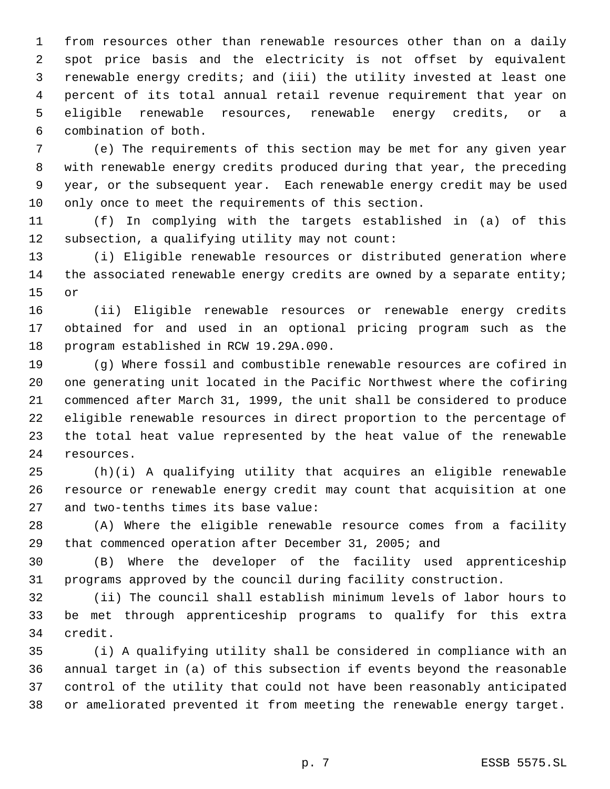from resources other than renewable resources other than on a daily spot price basis and the electricity is not offset by equivalent renewable energy credits; and (iii) the utility invested at least one percent of its total annual retail revenue requirement that year on eligible renewable resources, renewable energy credits, or a combination of both.

 (e) The requirements of this section may be met for any given year with renewable energy credits produced during that year, the preceding year, or the subsequent year. Each renewable energy credit may be used only once to meet the requirements of this section.

 (f) In complying with the targets established in (a) of this subsection, a qualifying utility may not count:

 (i) Eligible renewable resources or distributed generation where 14 the associated renewable energy credits are owned by a separate entity; or

 (ii) Eligible renewable resources or renewable energy credits obtained for and used in an optional pricing program such as the program established in RCW 19.29A.090.

 (g) Where fossil and combustible renewable resources are cofired in one generating unit located in the Pacific Northwest where the cofiring commenced after March 31, 1999, the unit shall be considered to produce eligible renewable resources in direct proportion to the percentage of the total heat value represented by the heat value of the renewable resources.

 (h)(i) A qualifying utility that acquires an eligible renewable resource or renewable energy credit may count that acquisition at one and two-tenths times its base value:

 (A) Where the eligible renewable resource comes from a facility that commenced operation after December 31, 2005; and

 (B) Where the developer of the facility used apprenticeship programs approved by the council during facility construction.

 (ii) The council shall establish minimum levels of labor hours to be met through apprenticeship programs to qualify for this extra credit.

 (i) A qualifying utility shall be considered in compliance with an annual target in (a) of this subsection if events beyond the reasonable control of the utility that could not have been reasonably anticipated or ameliorated prevented it from meeting the renewable energy target.